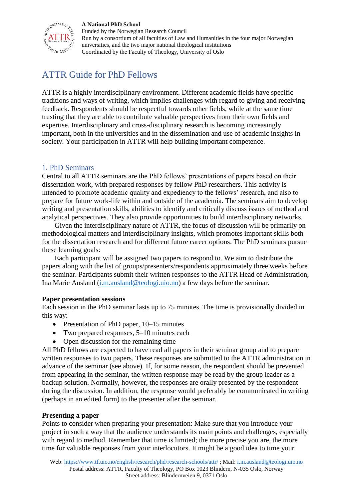#### **A National PhD School**



Funded by the Norwegian Research Council Run by a consortium of all faculties of Law and Humanities in the four major Norwegian universities, and the two major national theological institutions Coordinated by the Faculty of Theology, University of Oslo

# ATTR Guide for PhD Fellows

ATTR is a highly interdisciplinary environment. Different academic fields have specific traditions and ways of writing, which implies challenges with regard to giving and receiving feedback. Respondents should be respectful towards other fields, while at the same time trusting that they are able to contribute valuable perspectives from their own fields and expertise. Interdisciplinary and cross-disciplinary research is becoming increasingly important, both in the universities and in the dissemination and use of academic insights in society. Your participation in ATTR will help building important competence.

## 1. PhD Seminars

Central to all ATTR seminars are the PhD fellows' presentations of papers based on their dissertation work, with prepared responses by fellow PhD researchers. This activity is intended to promote academic quality and expediency to the fellows' research, and also to prepare for future work-life within and outside of the academia. The seminars aim to develop writing and presentation skills, abilities to identify and critically discuss issues of method and analytical perspectives. They also provide opportunities to build interdisciplinary networks.

Given the interdisciplinary nature of ATTR, the focus of discussion will be primarily on methodological matters and interdisciplinary insights, which promotes important skills both for the dissertation research and for different future career options. The PhD seminars pursue these learning goals:

Each participant will be assigned two papers to respond to. We aim to distribute the papers along with the list of groups/presenters/respondents approximately three weeks before the seminar. Participants submit their written responses to the ATTR Head of Administration, Ina Marie Ausland [\(i.m.ausland@teologi.uio.no\)](mailto:i.m.ausland@teologi.uio.no) a few days before the seminar.

#### **Paper presentation sessions**

Each session in the PhD seminar lasts up to 75 minutes. The time is provisionally divided in this way:

- Presentation of PhD paper, 10–15 minutes
- Two prepared responses, 5–10 minutes each
- Open discussion for the remaining time

All PhD fellows are expected to have read all papers in their seminar group and to prepare written responses to two papers. These responses are submitted to the ATTR administration in advance of the seminar (see above). If, for some reason, the respondent should be prevented from appearing in the seminar, the written response may be read by the group leader as a backup solution. Normally, however, the responses are orally presented by the respondent during the discussion. In addition, the response would preferably be communicated in writing (perhaps in an edited form) to the presenter after the seminar.

#### **Presenting a paper**

Points to consider when preparing your presentation: Make sure that you introduce your project in such a way that the audience understands its main points and challenges, especially with regard to method. Remember that time is limited; the more precise you are, the more time for valuable responses from your interlocutors. It might be a good idea to time your